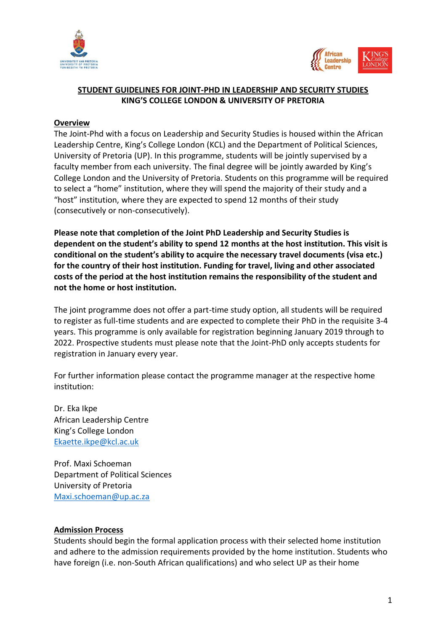



# **STUDENT GUIDELINES FOR JOINT-PHD IN LEADERSHIP AND SECURITY STUDIES KING'S COLLEGE LONDON & UNIVERSITY OF PRETORIA**

### **Overview**

The Joint-Phd with a focus on Leadership and Security Studies is housed within the African Leadership Centre, King's College London (KCL) and the Department of Political Sciences, University of Pretoria (UP). In this programme, students will be jointly supervised by a faculty member from each university. The final degree will be jointly awarded by King's College London and the University of Pretoria. Students on this programme will be required to select a "home" institution, where they will spend the majority of their study and a "host" institution, where they are expected to spend 12 months of their study (consecutively or non-consecutively).

**Please note that completion of the Joint PhD Leadership and Security Studies is dependent on the student's ability to spend 12 months at the host institution. This visit is conditional on the student's ability to acquire the necessary travel documents (visa etc.) for the country of their host institution. Funding for travel, living and other associated costs of the period at the host institution remains the responsibility of the student and not the home or host institution.**

The joint programme does not offer a part-time study option, all students will be required to register as full-time students and are expected to complete their PhD in the requisite 3-4 years. This programme is only available for registration beginning January 2019 through to 2022. Prospective students must please note that the Joint-PhD only accepts students for registration in January every year.

For further information please contact the programme manager at the respective home institution:

Dr. Eka Ikpe African Leadership Centre King's College London [Ekaette.ikpe@kcl.ac.uk](mailto:Ekaette.ikpe@kcl.ac.uk)

Prof. Maxi Schoeman Department of Political Sciences University of Pretoria [Maxi.schoeman@up.ac.za](mailto:Maxi.schoeman@up.ac.za)

#### **Admission Process**

Students should begin the formal application process with their selected home institution and adhere to the admission requirements provided by the home institution. Students who have foreign (i.e. non-South African qualifications) and who select UP as their home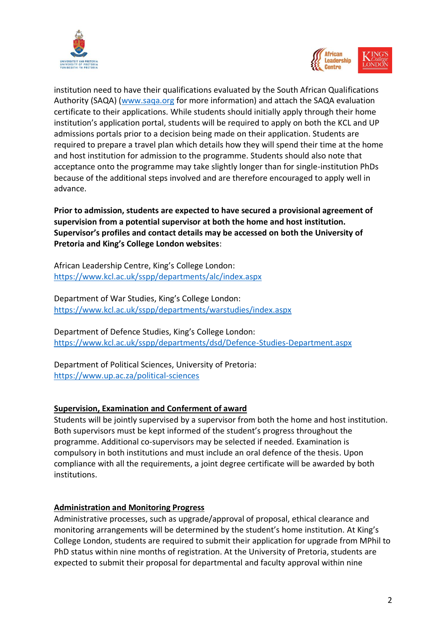



institution need to have their qualifications evaluated by the South African Qualifications Authority (SAQA) [\(www.saqa.org](http://www.saqa.org/) for more information) and attach the SAQA evaluation certificate to their applications. While students should initially apply through their home institution's application portal, students will be required to apply on both the KCL and UP admissions portals prior to a decision being made on their application. Students are required to prepare a travel plan which details how they will spend their time at the home and host institution for admission to the programme. Students should also note that acceptance onto the programme may take slightly longer than for single-institution PhDs because of the additional steps involved and are therefore encouraged to apply well in advance.

**Prior to admission, students are expected to have secured a provisional agreement of supervision from a potential supervisor at both the home and host institution. Supervisor's profiles and contact details may be accessed on both the University of Pretoria and King's College London websites**:

African Leadership Centre, King's College London: <https://www.kcl.ac.uk/sspp/departments/alc/index.aspx>

Department of War Studies, King's College London: <https://www.kcl.ac.uk/sspp/departments/warstudies/index.aspx>

Department of Defence Studies, King's College London: <https://www.kcl.ac.uk/sspp/departments/dsd/Defence-Studies-Department.aspx>

Department of Political Sciences, University of Pretoria: <https://www.up.ac.za/political-sciences>

### **Supervision, Examination and Conferment of award**

Students will be jointly supervised by a supervisor from both the home and host institution. Both supervisors must be kept informed of the student's progress throughout the programme. Additional co-supervisors may be selected if needed. Examination is compulsory in both institutions and must include an oral defence of the thesis. Upon compliance with all the requirements, a joint degree certificate will be awarded by both institutions.

#### **Administration and Monitoring Progress**

Administrative processes, such as upgrade/approval of proposal, ethical clearance and monitoring arrangements will be determined by the student's home institution. At King's College London, students are required to submit their application for upgrade from MPhil to PhD status within nine months of registration. At the University of Pretoria, students are expected to submit their proposal for departmental and faculty approval within nine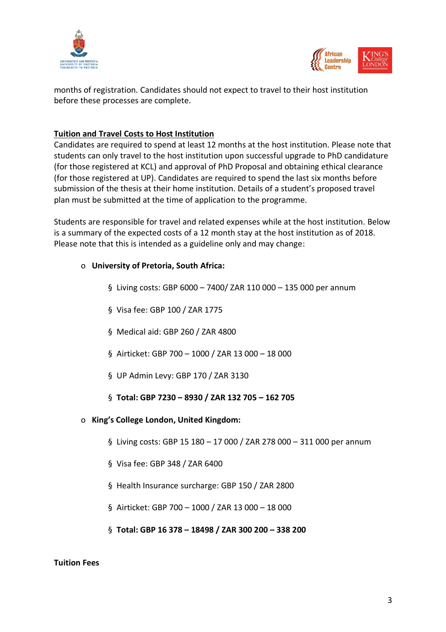



months of registration. Candidates should not expect to travel to their host institution before these processes are complete.

## **Tuition and Travel Costs to Host Institution**

Candidates are required to spend at least 12 months at the host institution. Please note that students can only travel to the host institution upon successful upgrade to PhD candidature (for those registered at KCL) and approval of PhD Proposal and obtaining ethical clearance (for those registered at UP). Candidates are required to spend the last six months before submission of the thesis at their home institution. Details of a student's proposed travel plan must be submitted at the time of application to the programme.

Students are responsible for travel and related expenses while at the host institution. Below is a summary of the expected costs of a 12 month stay at the host institution as of 2018. Please note that this is intended as a guideline only and may change:

### o **University of Pretoria, South Africa:**

- § Living costs: GBP 6000 7400/ ZAR 110 000 135 000 per annum
- § Visa fee: GBP 100 / ZAR 1775
- § Medical aid: GBP 260 / ZAR 4800
- § Airticket: GBP 700 1000 / ZAR 13 000 18 000
- § UP Admin Levy: GBP 170 / ZAR 3130
- § **Total: GBP 7230 – 8930 / ZAR 132 705 – 162 705**
- o **King's College London, United Kingdom:**
	- § Living costs: GBP 15 180 17 000 / ZAR 278 000 311 000 per annum
	- § Visa fee: GBP 348 / ZAR 6400
	- § Health Insurance surcharge: GBP 150 / ZAR 2800
	- § Airticket: GBP 700 1000 / ZAR 13 000 18 000
	- § **Total: GBP 16 378 – 18498 / ZAR 300 200 – 338 200**

#### **Tuition Fees**